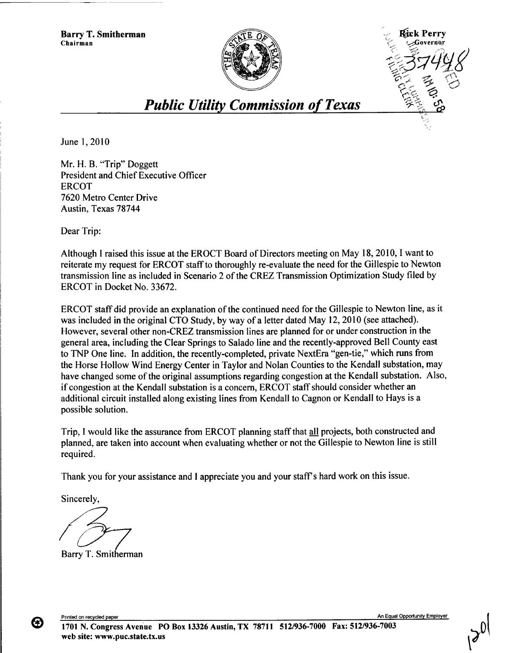**Barry T. Smitherman Chairman --Governor**





## *Public Utility Commission of Texas*

June 1, 2010

**Mr. H. B. "Trip" Doggett President and Chief Executive Officer ERCOT** 7620 **Metro Center Drive Austin, Texas 78744**

Dear Trip:

Although I raised **this issue at** the EROCT **Board** of Directors **meeting on** May 18, 2010, 1 want to **reiterate** my request for ERCOT staff to thoroughly **re-evaluate the need** for the Gillespie to Newton **transmission line as included in Scenario** 2 of the CREZ **Transmission** Optimization Study filed by ERCOT in Docket No. 33672.

ERCOT staff did provide an explanation of the continued need for the Gillespie to Newton line, as it was included in the original CTO Study, by way of a letter dated May 12, 2010 (see attached). However, several other non-CREZ transmission lines are planned for or under construction in the general area, including the Clear Springs to Salado line and the recently-approved Bell County east to TNP One line. In addition, the recently-completed, private NextEra "gen-tie," which runs from the Horse Hollow Wind Energy Center in Taylor and Nolan Counties to the Kendall substation, may have changed some of the original assumptions regarding congestion at the Kendall substation. Also, if congestion at the Kendall substation is a concern, ERCOT staff should consider whether an additional circuit installed along existing lines from Kendall to Cagnon or Kendall to Hays is a possible solution.

Trip, **<sup>I</sup> would like the assurance from** ERCOT **planning staff that all projects, both constructed and planned, are taken into account when evaluating whether or not the Gillespie to Newton line is still required.**

Thank you for your **assistance and I appreciate** you and your staffs hard work **on this issue.**

Sincerely,

**/37** Barry T. Smitherman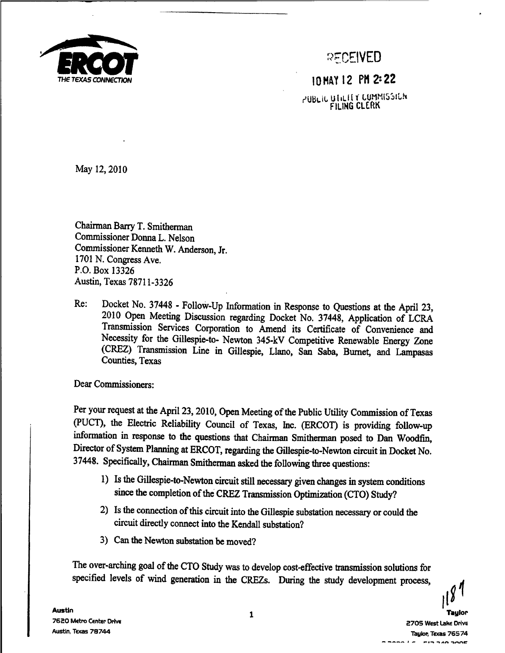

-CEIvEo

10 MAY 12 PH 2^ 22

PUBLIC UTILITY CUMMISSICH

May 12, 2010

**Chairman Barry T. Smitherman Commissioner Donna L. Nelson Commissioner** Kenneth W. Anderson, Jr. 1701 N. Congress Ave. P.O. Box 13326 Austin, Texas 78711-3326

Re: Docket No. 37448 - Follow-Up **Information in Response to Questions** at the April 23, 2010 Open **Meeting Discussion regarding** Docket No. 37448, Application of LCRA **Transmission Services Corporation** to Amend its Certificate **of Convenience and** Necessity for the **Gillespie-to-** Newton 345-kV **Competitive Renewable Energy Zone (CREZ) Transmission Line in Gillespie,** Llano, San **Saba, Burnet, and Lampasas Counties, Texas**

Dear Commissioners:

**Per your request at the April 23, 2010, Open Meeting of the Public Utility Commission of Texas** (PUCT), **the Electric Reliability Council of Texas,** Inc. (ERCOT) **is providing follow-up information in response to the questions that Chairman Smitherman posed to Dan Woodfin, Director of System Planning** at ERCOT, **regarding the Gillespie-to-Newton circuit in Docket No.** 37448. **Specifically, Chairman Smitherman asked the following three questions:**

- **1) Is the Gillespie-to-Newton circuit still necessary given changes in system conditions since the completion of the CREZ Transmission Optimization** (CTO) Study?
- **2) Is the connection of this circuit into the Gillespie substation necessary or could the** circuit directly connect into the Kendall substation?
- 3) Can the Newton **substation** be moved?

The over-arching goal of the CTO Study was to develop cost-effective **transmission** solutions for specified levels of wind **generation** in the CREZs. During the study development process,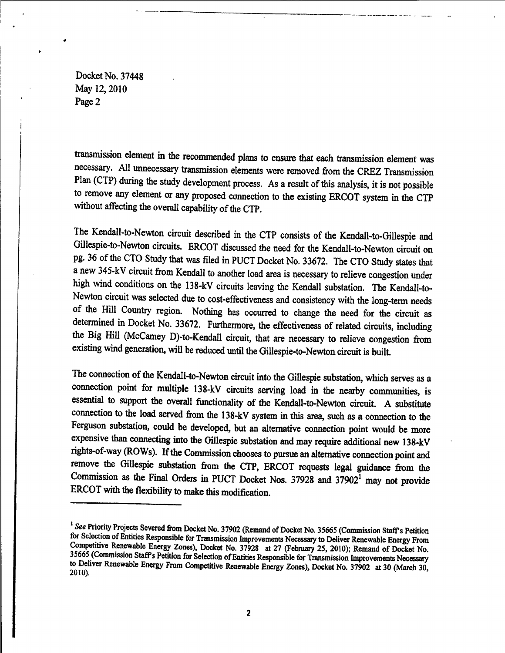Docket No. 37448 May 12, 2010 Page 2

.

transmission element in the recommended plans to ensure that each transmission element was necessary. All unnecessary transmission elements were removed from the CREZ Transmission Plan (CTP) during the study development process. As a result of this analysis, it is not possible to remove any element or any proposed connection to the existing ERCOT system in the CTP without affecting the overall capability of the CTP.

The Kendall-to-Newton circuit described in the CTP consists of the Kendall-to-Gillespie and Gillespie-to-Newton circuits. ERCOT discussed the need for the Kendall-to-Newton circuit on pg. 36 of the CTO Study that was filed in PUCT Docket No. 33672. The CTO Study states that a new 345-kV circuit from Kendall to another load area is necessary to relieve congestion under high wind conditions on the 138-kV circuits leaving the Kendall substation. The Kendall-to-Newton circuit was selected due to cost-effectiveness and consistency with the long-term needs of the Hill Country region. Nothing has occurred to change the need for the circuit as determined in Docket No. 33672. Furthermore, the effectiveness of related circuits, including the Big Hill (McCamey D)-to-Kendall circuit, that are necessary to relieve congestion from existing wind generation, will be reduced until the Gillespie-to-Newton circuit is built.

The connection of the Kendall-to-Newton circuit into the Gillespie substation, which serves as a connection point for multiple 138-kV circuits serving load in the nearby communities, is essential to support the overall functionality of the Kendall-to-Newton circuit. A substitute connection to the load served from the 138-kV system in this area, such as a connection to the Ferguson substation, could be developed, but an alternative connection point would be more expensive than connecting into the Gillespie substation and may require additional new 138-kV rights-of-way (ROWs). If the Commission chooses to pursue an alternative connection point and remove the Gillespie substation from the CTP, ERCOT requests legal guidance from the Commission as the Final Orders in PUCT Docket Nos.  $37928$  and  $37902<sup>1</sup>$  may not provide ERCOT with the flexibility to make this modification.

<sup>&</sup>lt;sup>1</sup> See Priority Projects Severed from Docket No. 37902 (Remand of Docket No. 35665 (Commission Staff's Petition for Selection of Entities Responsible for Transmission Improvements Necessary to Deliver Renewable Energy From Competitive Renewable Energy Zones), Docket No. 37928 at 27 (February 25, 2010); Remand of Docket No. 35665 (Commission Staff s Petition for Selection of Entities Responsible for Transmission Improvements Necessary to Deliver Renewable Energy From Competitive Renewable Energy Zones), Docket No. 37902 at 30 (March 30, 2010).